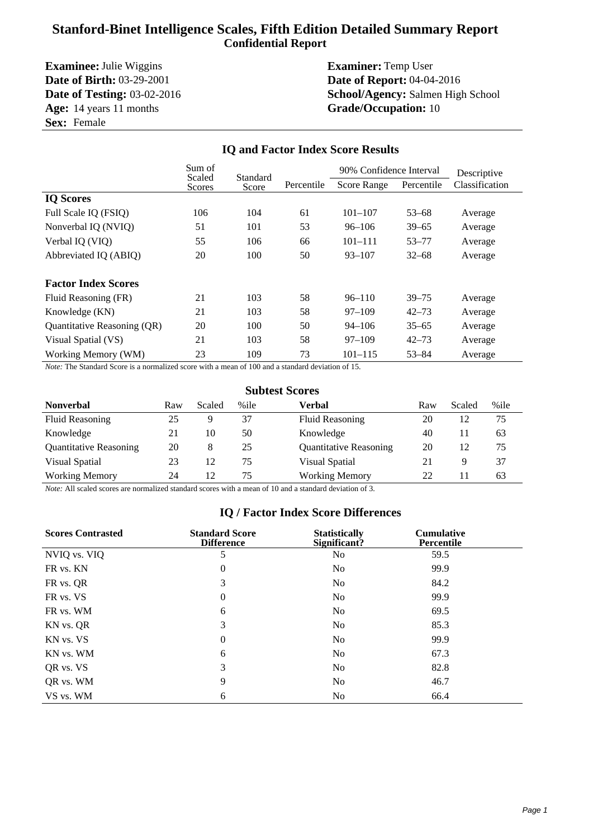# **Stanford-Binet Intelligence Scales, Fifth Edition Detailed Summary Report Confidential Report**

**Examinee:** Julie Wiggins **Examiner:** Temp User **Date of Birth:** 03-29-2001 **Date of Report:** 04-04-2016 **Age:** 14 years 11 months **Grade/Occupation:** 10 **Sex:** Female

# **Date of Testing:** 03-02-2016 **School/Agency:** Salmen High School

|                             | Sum of<br>Scaled<br>Standard |       |            | 90% Confidence Interval |            | Descriptive    |  |
|-----------------------------|------------------------------|-------|------------|-------------------------|------------|----------------|--|
|                             | Scores                       | Score | Percentile | <b>Score Range</b>      | Percentile | Classification |  |
| <b>IQ Scores</b>            |                              |       |            |                         |            |                |  |
| Full Scale IQ (FSIQ)        | 106                          | 104   | 61         | $101 - 107$             | $53 - 68$  | Average        |  |
| Nonverbal IQ (NVIQ)         | 51                           | 101   | 53         | $96 - 106$              | $39 - 65$  | Average        |  |
| Verbal IQ (VIQ)             | 55                           | 106   | 66         | $101 - 111$             | $53 - 77$  | Average        |  |
| Abbreviated IQ (ABIQ)       | 20                           | 100   | 50         | $93 - 107$              | $32 - 68$  | Average        |  |
| <b>Factor Index Scores</b>  |                              |       |            |                         |            |                |  |
| Fluid Reasoning (FR)        | 21                           | 103   | 58         | $96 - 110$              | $39 - 75$  | Average        |  |
| Knowledge (KN)              | 21                           | 103   | 58         | $97 - 109$              | $42 - 73$  | Average        |  |
| Quantitative Reasoning (QR) | 20                           | 100   | 50         | $94 - 106$              | $35 - 65$  | Average        |  |
| Visual Spatial (VS)         | 21                           | 103   | 58         | $97 - 109$              | $42 - 73$  | Average        |  |
| Working Memory (WM)         | 23                           | 109   | 73         | $101 - 115$             | $53 - 84$  | Average        |  |

**IQ and Factor Index Score Results**

#### *Note:* The Standard Score is a normalized score with a mean of 100 and a standard deviation of 15.

| <b>Subtest Scores</b> |  |
|-----------------------|--|
|-----------------------|--|

| <b>Nonverbal</b>              | Raw | Scaled | %ile | Verbal                        | Raw | Scaled | %ile |
|-------------------------------|-----|--------|------|-------------------------------|-----|--------|------|
| <b>Fluid Reasoning</b>        | 25  |        | 37   | <b>Fluid Reasoning</b>        | 20  | 12     | 75   |
| Knowledge                     | 21  | 10     | 50   | Knowledge                     | 40  |        | 63   |
| <b>Quantitative Reasoning</b> | 20  | 8      | 25   | <b>Quantitative Reasoning</b> | 20  | 12     | 75   |
| Visual Spatial                | 23  | 12     | 75   | Visual Spatial                | 21  | 9      | 37   |
| <b>Working Memory</b>         | 24  | 12     | 75   | <b>Working Memory</b>         | 22  |        | 63   |

*Note:* All scaled scores are normalized standard scores with a mean of 10 and a standard deviation of 3.

### **IQ / Factor Index Score Differences**

| <b>Scores Contrasted</b> | <b>Standard Score</b><br><b>Difference</b> | <b>Statistically</b><br>Significant? | <b>Cumulative</b><br><b>Percentile</b> |  |
|--------------------------|--------------------------------------------|--------------------------------------|----------------------------------------|--|
| NVIQ vs. VIQ             | 5                                          | N <sub>0</sub>                       | 59.5                                   |  |
| FR vs. KN                | $\theta$                                   | No                                   | 99.9                                   |  |
| FR vs. QR                | 3                                          | N <sub>0</sub>                       | 84.2                                   |  |
| FR vs. VS                | $\theta$                                   | N <sub>0</sub>                       | 99.9                                   |  |
| FR vs. WM                | 6                                          | N <sub>0</sub>                       | 69.5                                   |  |
| KN vs. QR                | 3                                          | No                                   | 85.3                                   |  |
| KN vs. VS                | $\theta$                                   | N <sub>0</sub>                       | 99.9                                   |  |
| KN vs. WM                | 6                                          | N <sub>0</sub>                       | 67.3                                   |  |
| OR vs. VS                | 3                                          | N <sub>0</sub>                       | 82.8                                   |  |
| QR vs. WM                | 9                                          | N <sub>0</sub>                       | 46.7                                   |  |
| VS vs. WM                | 6                                          | N <sub>0</sub>                       | 66.4                                   |  |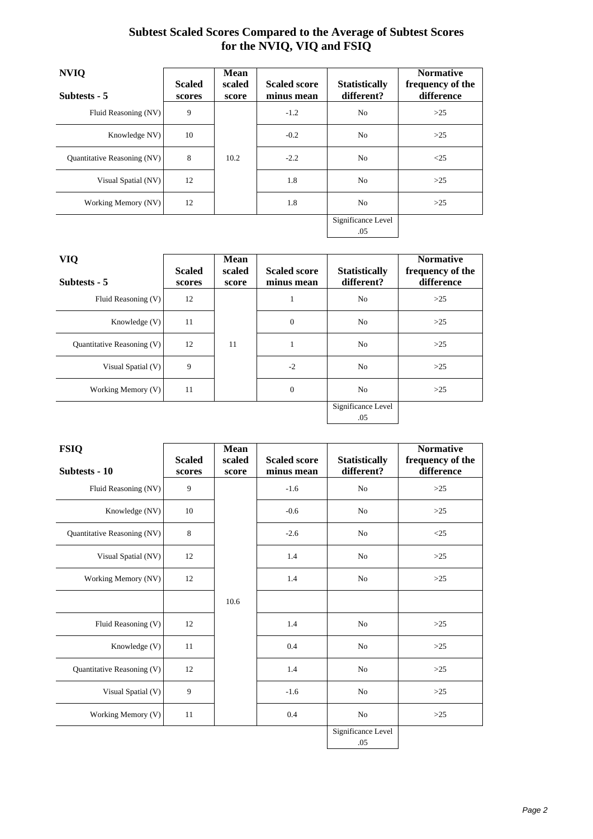# **Subtest Scaled Scores Compared to the Average of Subtest Scores for the NVIQ, VIQ and FSIQ**

| <b>NVIQ</b>                 | <b>Scaled</b> | <b>Mean</b><br>scaled | <b>Scaled score</b> | <b>Statistically</b> | <b>Normative</b><br>frequency of the |
|-----------------------------|---------------|-----------------------|---------------------|----------------------|--------------------------------------|
| Subtests - 5                | scores        | score                 | minus mean          | different?           | difference                           |
| Fluid Reasoning (NV)        | 9             |                       | $-1.2$              | N <sub>0</sub>       | >25                                  |
| Knowledge NV)               | 10            |                       | $-0.2$              | N <sub>0</sub>       | $>25$                                |
| Quantitative Reasoning (NV) | 8             | 10.2                  | $-2.2$              | N <sub>0</sub>       | $\leq$ 25                            |
| Visual Spatial (NV)         | 12            |                       | 1.8                 | N <sub>0</sub>       | $>25$                                |
| Working Memory (NV)         | 12            |                       | 1.8                 | N <sub>0</sub>       | >25                                  |
|                             |               |                       |                     | Significance Level   |                                      |
|                             |               |                       |                     | .05                  |                                      |

| <b>VIQ</b>                 | <b>Scaled</b> | <b>Mean</b><br>scaled | <b>Scaled score</b> | <b>Statistically</b> | <b>Normative</b><br>frequency of the |
|----------------------------|---------------|-----------------------|---------------------|----------------------|--------------------------------------|
| Subtests - 5               | scores        | score                 | minus mean          | different?           | difference                           |
| Fluid Reasoning $(V)$      | 12            |                       | 1                   | N <sub>0</sub>       | $>25$                                |
| Knowledge $(V)$            | 11            |                       | $\theta$            | N <sub>0</sub>       | $>25$                                |
| Quantitative Reasoning (V) | 12            | 11                    | 1                   | N <sub>0</sub>       | $>25$                                |
| Visual Spatial $(V)$       | 9             |                       | $-2$                | N <sub>0</sub>       | $>25$                                |
| Working Memory $(V)$       | 11            |                       | $\overline{0}$      | N <sub>0</sub>       | $>25$                                |
|                            |               |                       |                     | Significance Level   |                                      |
|                            |               |                       |                     | .05                  |                                      |

| <b>FSIQ</b>                 |                         | <b>Mean</b>     |                                   |                                    | <b>Normative</b>               |
|-----------------------------|-------------------------|-----------------|-----------------------------------|------------------------------------|--------------------------------|
| Subtests - 10               | <b>Scaled</b><br>scores | scaled<br>score | <b>Scaled score</b><br>minus mean | <b>Statistically</b><br>different? | frequency of the<br>difference |
| Fluid Reasoning (NV)        | 9                       |                 | $-1.6$                            | N <sub>o</sub>                     | $>25$                          |
| Knowledge (NV)              | 10                      |                 | $-0.6$                            | N <sub>o</sub>                     | $>25$                          |
| Quantitative Reasoning (NV) | 8                       |                 | $-2.6$                            | N <sub>o</sub>                     | $<$ 25                         |
| Visual Spatial (NV)         | 12                      |                 | 1.4                               | N <sub>0</sub>                     | $>25$                          |
| Working Memory (NV)         | 12                      |                 | 1.4                               | N <sub>o</sub>                     | $>25$                          |
|                             |                         | 10.6            |                                   |                                    |                                |
| Fluid Reasoning (V)         | 12                      |                 | 1.4                               | N <sub>o</sub>                     | $>25$                          |
| Knowledge (V)               | 11                      |                 | 0.4                               | N <sub>0</sub>                     | $>25$                          |
| Quantitative Reasoning (V)  | 12                      |                 | 1.4                               | N <sub>o</sub>                     | $>25$                          |
| Visual Spatial (V)          | 9                       |                 | $-1.6$                            | N <sub>0</sub>                     | $>25$                          |
| Working Memory (V)          | 11                      |                 | 0.4                               | No                                 | $>25$                          |
|                             |                         |                 |                                   | Significance Level<br>.05          |                                |